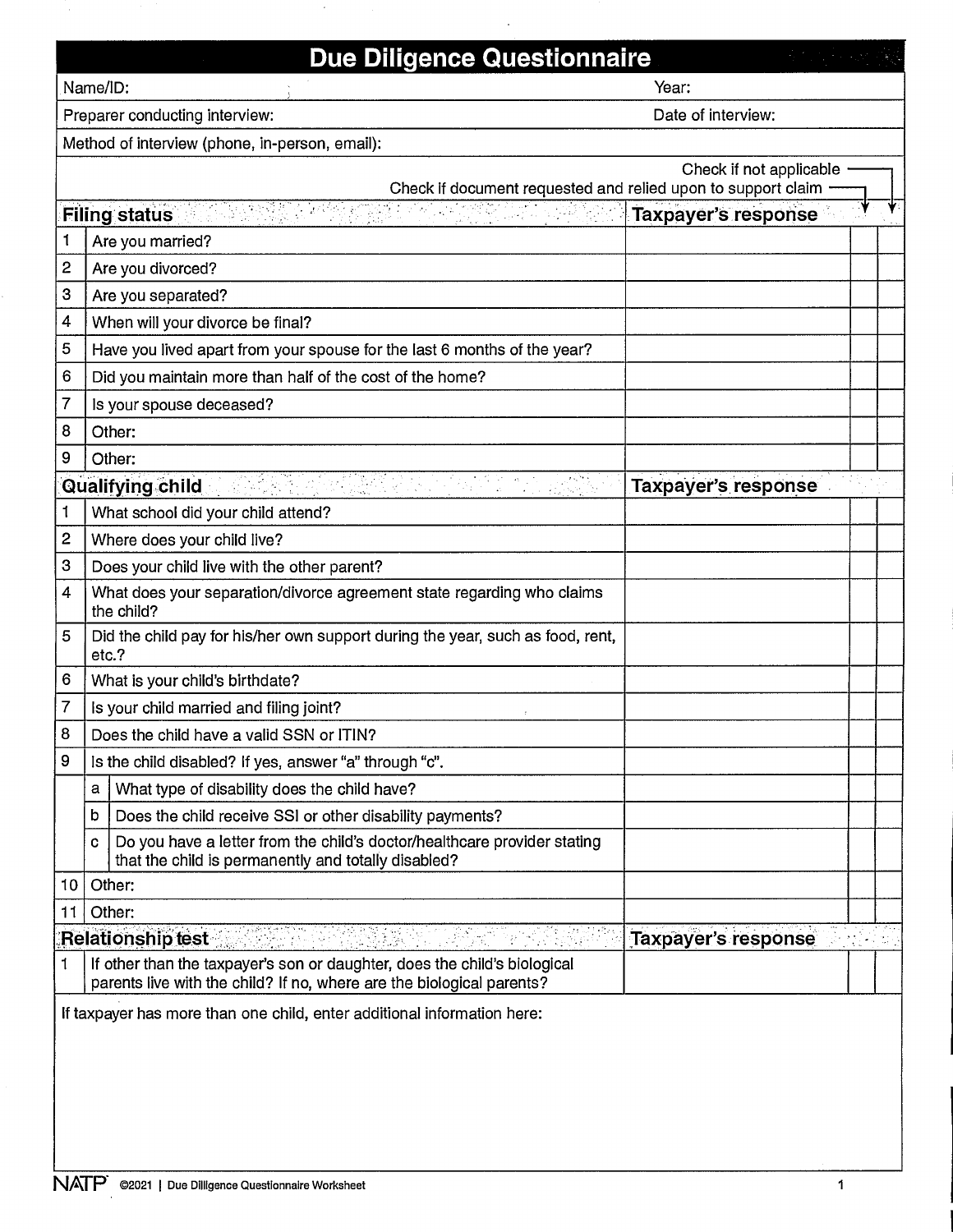|                                | <b>Due Diligence Questionnaire</b>                                                                                                                 |                            |  |  |
|--------------------------------|----------------------------------------------------------------------------------------------------------------------------------------------------|----------------------------|--|--|
| Name/ID:<br>Year:              |                                                                                                                                                    |                            |  |  |
| Preparer conducting interview: |                                                                                                                                                    | Date of interview:         |  |  |
|                                | Method of interview (phone, in-person, email):                                                                                                     |                            |  |  |
|                                |                                                                                                                                                    | Check if not applicable    |  |  |
|                                | Check if document requested and relied upon to support claim                                                                                       |                            |  |  |
|                                | <u>Terry and any set</u><br><b>Filing status</b>                                                                                                   | <b>Taxpayer's response</b> |  |  |
| 1                              | Are you married?                                                                                                                                   |                            |  |  |
| 2                              | Are you divorced?                                                                                                                                  |                            |  |  |
| 3                              | Are you separated?                                                                                                                                 |                            |  |  |
| 4                              | When will your divorce be final?                                                                                                                   |                            |  |  |
| 5                              | Have you lived apart from your spouse for the last 6 months of the year?                                                                           |                            |  |  |
| 6                              | Did you maintain more than half of the cost of the home?                                                                                           |                            |  |  |
| 7                              | Is your spouse deceased?                                                                                                                           |                            |  |  |
| 8                              | Other:                                                                                                                                             |                            |  |  |
| 9                              | Other:                                                                                                                                             |                            |  |  |
|                                | <b>Qualifying child</b>                                                                                                                            | <b>Taxpayer's response</b> |  |  |
| 1                              | What school did your child attend?                                                                                                                 |                            |  |  |
| 2                              | Where does your child live?                                                                                                                        |                            |  |  |
| 3                              | Does your child live with the other parent?                                                                                                        |                            |  |  |
| 4                              | What does your separation/divorce agreement state regarding who claims<br>the child?                                                               |                            |  |  |
| 5                              | Did the child pay for his/her own support during the year, such as food, rent,<br>etc.?                                                            |                            |  |  |
| 6                              | What is your child's birthdate?                                                                                                                    |                            |  |  |
| 7                              | Is your child married and filing joint?                                                                                                            |                            |  |  |
| 8                              | Does the child have a valid SSN or ITIN?                                                                                                           |                            |  |  |
| 9                              | Is the child disabled? If yes, answer "a" through "c".                                                                                             |                            |  |  |
|                                | What type of disability does the child have?<br>а                                                                                                  |                            |  |  |
|                                | Does the child receive SSI or other disability payments?<br>b                                                                                      |                            |  |  |
|                                | Do you have a letter from the child's doctor/healthcare provider stating<br>c<br>that the child is permanently and totally disabled?               |                            |  |  |
| 10 <sub>10</sub>               | Other:                                                                                                                                             |                            |  |  |
| 11                             | Other:                                                                                                                                             |                            |  |  |
|                                | <b>Relationship test</b><br>1225                                                                                                                   | <b>Taxpayer's response</b> |  |  |
| 1                              | If other than the taxpayer's son or daughter, does the child's biological<br>parents live with the child? If no, where are the biological parents? |                            |  |  |
|                                | If taxpayer has more than one child, enter additional information here:                                                                            |                            |  |  |

 $\bar{\beta}$ 

Ù,

 $\bar{\gamma}$